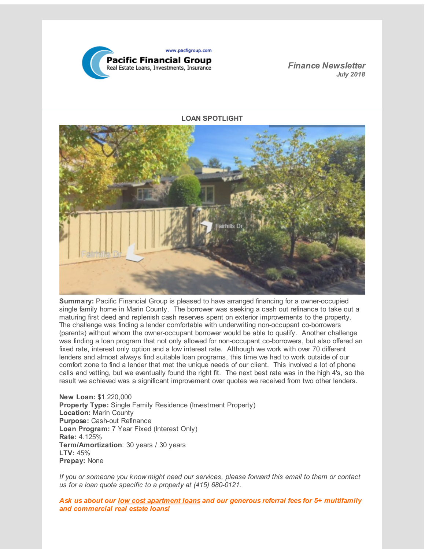

*Finance Newsletter July 2018*

**LOAN SPOTLIGHT**



**Summary:** Pacific Financial Group is pleased to have arranged financing for a owner-occupied single family home in Marin County. The borrower was seeking a cash out refinance to take out a maturing first deed and replenish cash reserves spent on exterior improvements to the property. The challenge was finding a lender comfortable with underwriting non-occupant co-borrowers (parents) without whom the owner-occupant borrower would be able to qualify. Another challenge was finding a loan program that not only allowed for non-occupant co-borrowers, but also offered an fixed rate, interest only option and a low interest rate. Although we work with over 70 different lenders and almost always find suitable loan programs, this time we had to work outside of our comfort zone to find a lender that met the unique needs of our client. This involved a lot of phone calls and vetting, but we eventually found the right fit. The next best rate was in the high 4's, so the result we achieved was a significant improvement over quotes we received from two other lenders.

**New Loan:** \$1,220,000 **Property Type:** Single Family Residence (Investment Property) **Location:** Marin County **Purpose:** Cash-out Refinance **Loan Program:** 7 Year Fixed (Interest Only) **Rate:** 4.125% **Term/Amortization**: 30 years / 30 years **LTV:** 45% **Prepay:** None

*If you or someone you know might need our services, please forward this email to them or contact us for a loan quote specific to a property at (415) 680-0121.*

*Ask us about our low cost apartment loans and our generous referral fees for 5+ multifamily and commercial real estate loans!*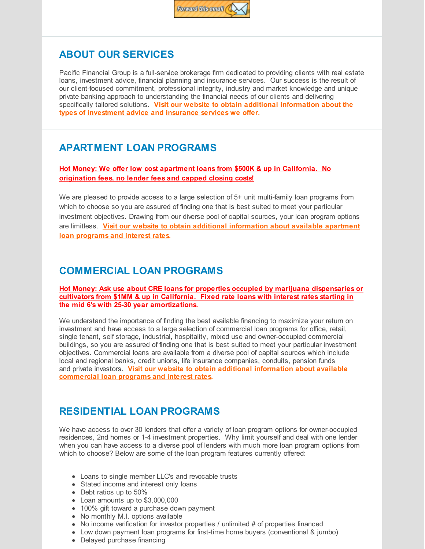

## **ABOUT OUR SERVICES**

Pacific Financial Group is a full-service brokerage firm dedicated to providing clients with real estate loans, investment advice, financial planning and insurance services. Our success is the result of our client-focused commitment, professional integrity, industry and market knowledge and unique private banking approach to understanding the financial needs of our clients and delivering specifically tailored solutions. **Visit our website to obtain additional information about the types of [investment](http://r20.rs6.net/tn.jsp?f=0011976FwENjfPw_xqpEcczmkcxkUM9MEtN7xGTYmHnG3o1FZ-_rAvPtx-NNC3HCxuU8Cbkww17llidZw36d6nNPJQb6BQg1wAKURbaLhzvUMDKaR_rvLiY_vXKQQRdHggQqRcD4FfLgAOIexhlxdT6LoB5gmUQQYIpjkN6HmsR-uj7OGxeBlZiNQw9l8AWDh03C5kOV8kKcDY=&c=&ch=) advice and [insurance](http://r20.rs6.net/tn.jsp?f=0011976FwENjfPw_xqpEcczmkcxkUM9MEtN7xGTYmHnG3o1FZ-_rAvPtx-NNC3HCxuUgeR4ba6cD1VRIqyMM4wDf1DJ3K8N6rRIxj1XMtPXe2MPkLYk2aVW4DUN1hd4n_BhTju_ir-EW6BD5b8vXQqj0PicRSfTgiwTzp1vQd8gKXGqd0nmOqw0P1hf0qzh3EHo94Wmrj3fdBk=&c=&ch=) services we offer.**

## **APARTMENT LOAN PROGRAMS**

**Hot Money: We offer low cost apartment loans from \$500K & up in California. No origination fees, no lender fees and capped closing costs!**

We are pleased to provide access to a large selection of 5+ unit multi-family loan programs from which to choose so you are assured of finding one that is best suited to meet your particular investment objectives. Drawing from our diverse pool of capital sources, your loan program options are limitless. **Visit our website to obtain additional [information](http://r20.rs6.net/tn.jsp?f=0011976FwENjfPw_xqpEcczmkcxkUM9MEtN7xGTYmHnG3o1FZ-_rAvPtx-NNC3HCxuUfSdiFw3Me9ifBvySy8H7P3vxTpEqqnRukPPu7RzMjdSRXxieELnGJdz6Z-dsNr2DGdHM40nFNvDSb-ajJ555T0RNixzsSISpgvAFuRuMqSE8ZM4mkTzD_F0VujR-wuJluYfUXrzu-bY=&c=&ch=) about available apartment loan programs and interest rates.**

## **COMMERCIAL LOAN PROGRAMS**

**Hot Money: Ask use about CRE loans for properties occupied by marijuana dispensaries or cultivators from \$1MM & up in California. Fixed rate loans with interest rates starting in the mid 6's with 25-30 year amortizations.**

We understand the importance of finding the best available financing to maximize your return on investment and have access to a large selection of commercial loan programs for office, retail, single tenant, self storage, industrial, hospitality, mixed use and owner-occupied commercial buildings, so you are assured of finding one that is best suited to meet your particular investment objectives. Commercial loans are available from a diverse pool of capital sources which include local and regional banks, credit unions, life insurance companies, conduits, pension funds and private investors. **Visit our website to obtain additional information about available [commercial](http://r20.rs6.net/tn.jsp?f=0011976FwENjfPw_xqpEcczmkcxkUM9MEtN7xGTYmHnG3o1FZ-_rAvPtx-NNC3HCxuUJlj28NpAtMZP9zKrQmP2O6aSzHmFg1yx9SKV2iWmHjYGPrWnnFSxHNtpFAbDUQc8Ak7JlyXJieUgp0g7RErRZxJIgV-UwRP2O_jCz9k9DgZSQ3YRtX_pON4BKhJyABZkUf0HChMxJL0=&c=&ch=) loan programs and interest rates.**

## **RESIDENTIAL LOAN PROGRAMS**

We have access to over 30 lenders that offer a variety of loan program options for owner-occupied residences, 2nd homes or 1-4 investment properties. Why limit yourself and deal with one lender when you can have access to a diverse pool of lenders with much more loan program options from which to choose? Below are some of the loan program features currently offered:

- Loans to single member LLC's and revocable trusts
- Stated income and interest only loans
- Debt ratios up to 50%
- Loan amounts up to \$3,000,000
- 100% gift toward a purchase down payment
- No monthly M.I. options available
- No income verification for investor properties / unlimited # of properties financed
- Low down payment loan programs for first-time home buyers (conventional & jumbo)
- Delayed purchase financing